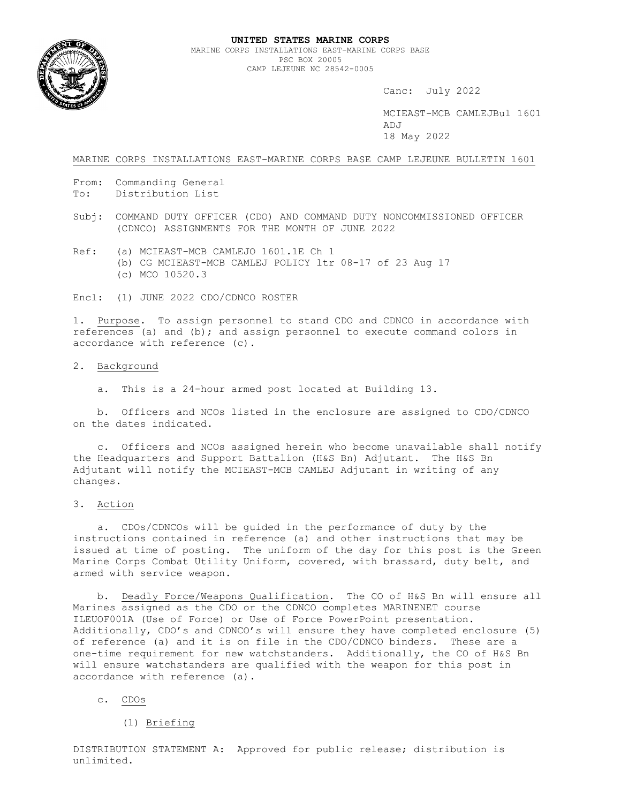

Canc: July 2022

 MCIEAST-MCB CAMLEJBul 1601 ADJ 18 May 2022

MARINE CORPS INSTALLATIONS EAST-MARINE CORPS BASE CAMP LEJEUNE BULLETIN 1601

- From: Commanding General
- To: Distribution List
- Subj: COMMAND DUTY OFFICER (CDO) AND COMMAND DUTY NONCOMMISSIONED OFFICER (CDNCO) ASSIGNMENTS FOR THE MONTH OF JUNE 2022
- Ref: (a) MCIEAST-MCB CAMLEJO 1601.1E Ch 1 (b) CG MCIEAST-MCB CAMLEJ POLICY ltr 08-17 of 23 Aug 17 (c) MCO 10520.3

Encl: (1) JUNE 2022 CDO/CDNCO ROSTER

1. Purpose. To assign personnel to stand CDO and CDNCO in accordance with references (a) and (b); and assign personnel to execute command colors in accordance with reference (c).

## 2. Background

a. This is a 24-hour armed post located at Building 13.

 b. Officers and NCOs listed in the enclosure are assigned to CDO/CDNCO on the dates indicated.

 c. Officers and NCOs assigned herein who become unavailable shall notify the Headquarters and Support Battalion (H&S Bn) Adjutant. The H&S Bn Adjutant will notify the MCIEAST-MCB CAMLEJ Adjutant in writing of any changes.

3. Action

 a. CDOs/CDNCOs will be guided in the performance of duty by the instructions contained in reference (a) and other instructions that may be issued at time of posting. The uniform of the day for this post is the Green Marine Corps Combat Utility Uniform, covered, with brassard, duty belt, and armed with service weapon.

 b. Deadly Force/Weapons Qualification. The CO of H&S Bn will ensure all Marines assigned as the CDO or the CDNCO completes MARINENET course ILEUOF001A (Use of Force) or Use of Force PowerPoint presentation. Additionally, CDO's and CDNCO's will ensure they have completed enclosure (5) of reference (a) and it is on file in the CDO/CDNCO binders. These are a one-time requirement for new watchstanders. Additionally, the CO of H&S Bn will ensure watchstanders are qualified with the weapon for this post in accordance with reference (a).

### c. CDOs

(1) Briefing

DISTRIBUTION STATEMENT A: Approved for public release; distribution is unlimited.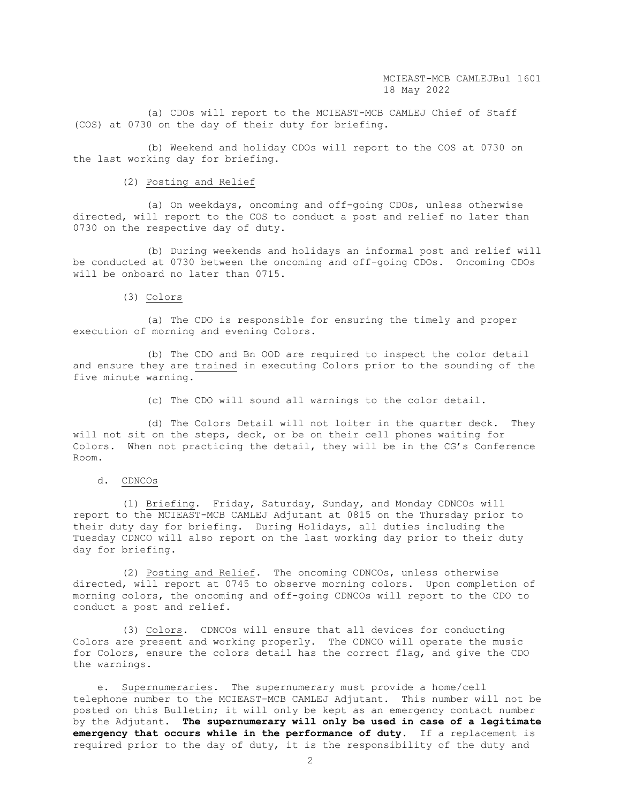(a) CDOs will report to the MCIEAST-MCB CAMLEJ Chief of Staff (COS) at 0730 on the day of their duty for briefing.

 (b) Weekend and holiday CDOs will report to the COS at 0730 on the last working day for briefing.

## (2) Posting and Relief

 (a) On weekdays, oncoming and off-going CDOs, unless otherwise directed, will report to the COS to conduct a post and relief no later than 0730 on the respective day of duty.

 (b) During weekends and holidays an informal post and relief will be conducted at 0730 between the oncoming and off-going CDOs. Oncoming CDOs will be onboard no later than 0715.

### (3) Colors

 (a) The CDO is responsible for ensuring the timely and proper execution of morning and evening Colors.

 (b) The CDO and Bn OOD are required to inspect the color detail and ensure they are trained in executing Colors prior to the sounding of the five minute warning.

(c) The CDO will sound all warnings to the color detail.

 (d) The Colors Detail will not loiter in the quarter deck. They will not sit on the steps, deck, or be on their cell phones waiting for Colors. When not practicing the detail, they will be in the CG's Conference Room.

# d. CDNCOs

 (1) Briefing. Friday, Saturday, Sunday, and Monday CDNCOs will report to the MCIEAST-MCB CAMLEJ Adjutant at 0815 on the Thursday prior to their duty day for briefing. During Holidays, all duties including the Tuesday CDNCO will also report on the last working day prior to their duty day for briefing.

 (2) Posting and Relief. The oncoming CDNCOs, unless otherwise directed, will report at 0745 to observe morning colors. Upon completion of morning colors, the oncoming and off-going CDNCOs will report to the CDO to conduct a post and relief.

 (3) Colors. CDNCOs will ensure that all devices for conducting Colors are present and working properly. The CDNCO will operate the music for Colors, ensure the colors detail has the correct flag, and give the CDO the warnings.

 e. Supernumeraries. The supernumerary must provide a home/cell telephone number to the MCIEAST-MCB CAMLEJ Adjutant. This number will not be posted on this Bulletin; it will only be kept as an emergency contact number by the Adjutant. **The supernumerary will only be used in case of a legitimate emergency that occurs while in the performance of duty**. If a replacement is required prior to the day of duty, it is the responsibility of the duty and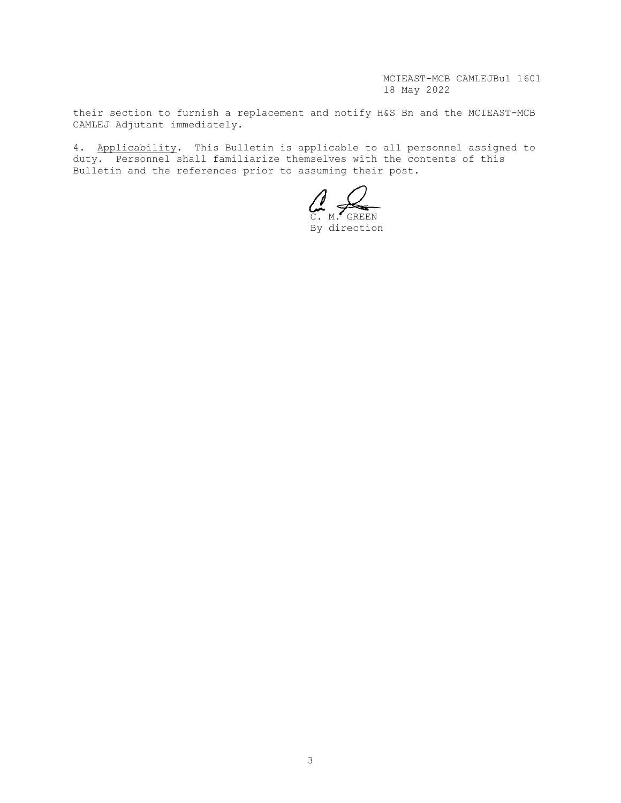MCIEAST-MCB CAMLEJBul 1601 18 May 2022

their section to furnish a replacement and notify H&S Bn and the MCIEAST-MCB CAMLEJ Adjutant immediately.

4. Applicability. This Bulletin is applicable to all personnel assigned to duty. Personnel shall familiarize themselves with the contents of this Bulletin and the references prior to assuming their post.

C. M. GREEN

By direction